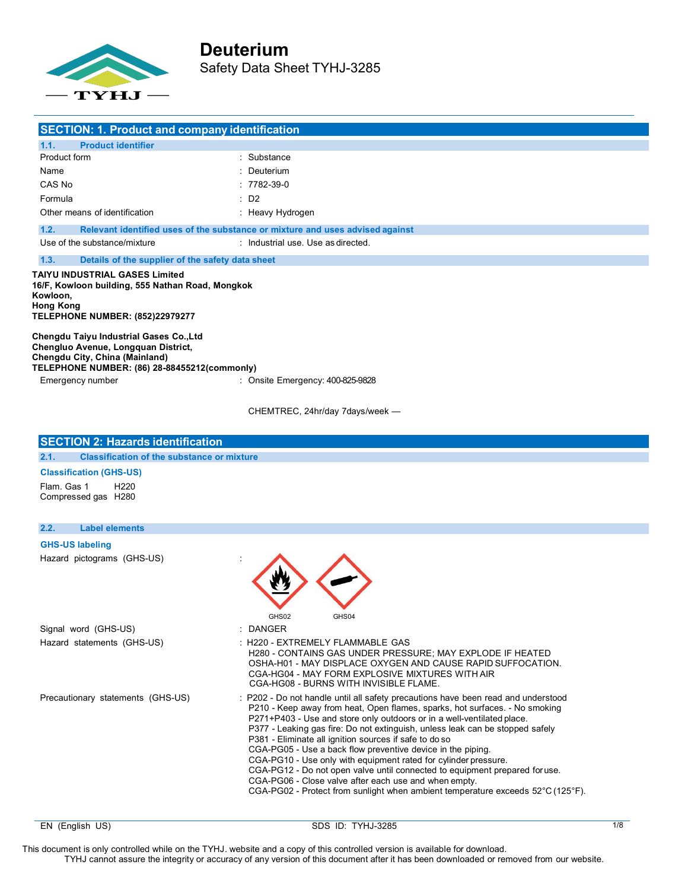

|                       | <b>SECTION: 1. Product and company identification</b>                                                                                                                   |                                                                                                                                                                                                                                                                                                                                                                                                                                                                                                                                                                                                                                                                                                                                                                         |
|-----------------------|-------------------------------------------------------------------------------------------------------------------------------------------------------------------------|-------------------------------------------------------------------------------------------------------------------------------------------------------------------------------------------------------------------------------------------------------------------------------------------------------------------------------------------------------------------------------------------------------------------------------------------------------------------------------------------------------------------------------------------------------------------------------------------------------------------------------------------------------------------------------------------------------------------------------------------------------------------------|
| 1.1.                  | <b>Product identifier</b>                                                                                                                                               |                                                                                                                                                                                                                                                                                                                                                                                                                                                                                                                                                                                                                                                                                                                                                                         |
| Product form          |                                                                                                                                                                         | : Substance                                                                                                                                                                                                                                                                                                                                                                                                                                                                                                                                                                                                                                                                                                                                                             |
| Name                  |                                                                                                                                                                         | : Deuterium                                                                                                                                                                                                                                                                                                                                                                                                                                                                                                                                                                                                                                                                                                                                                             |
| CAS No                |                                                                                                                                                                         | $: 7782 - 39 - 0$                                                                                                                                                                                                                                                                                                                                                                                                                                                                                                                                                                                                                                                                                                                                                       |
| Formula               |                                                                                                                                                                         | : D2                                                                                                                                                                                                                                                                                                                                                                                                                                                                                                                                                                                                                                                                                                                                                                    |
|                       | Other means of identification                                                                                                                                           | : Heavy Hydrogen                                                                                                                                                                                                                                                                                                                                                                                                                                                                                                                                                                                                                                                                                                                                                        |
| 1.2.                  |                                                                                                                                                                         | Relevant identified uses of the substance or mixture and uses advised against                                                                                                                                                                                                                                                                                                                                                                                                                                                                                                                                                                                                                                                                                           |
|                       | Use of the substance/mixture                                                                                                                                            | : Industrial use. Use as directed.                                                                                                                                                                                                                                                                                                                                                                                                                                                                                                                                                                                                                                                                                                                                      |
| 1.3.                  | Details of the supplier of the safety data sheet                                                                                                                        |                                                                                                                                                                                                                                                                                                                                                                                                                                                                                                                                                                                                                                                                                                                                                                         |
| Kowloon,<br>Hong Kong | TAIYU INDUSTRIAL GASES Limited<br>16/F, Kowloon building, 555 Nathan Road, Mongkok<br><b>TELEPHONE NUMBER: (852)22979277</b><br>Chengdu Taiyu Industrial Gases Co., Ltd |                                                                                                                                                                                                                                                                                                                                                                                                                                                                                                                                                                                                                                                                                                                                                                         |
|                       | Chengluo Avenue, Longquan District,<br>Chengdu City, China (Mainland)<br>TELEPHONE NUMBER: (86) 28-88455212(commonly)                                                   |                                                                                                                                                                                                                                                                                                                                                                                                                                                                                                                                                                                                                                                                                                                                                                         |
|                       | Emergency number                                                                                                                                                        | : Onsite Emergency: 400-825-9828                                                                                                                                                                                                                                                                                                                                                                                                                                                                                                                                                                                                                                                                                                                                        |
|                       |                                                                                                                                                                         | CHEMTREC, 24hr/day 7days/week -                                                                                                                                                                                                                                                                                                                                                                                                                                                                                                                                                                                                                                                                                                                                         |
|                       | <b>SECTION 2: Hazards identification</b>                                                                                                                                |                                                                                                                                                                                                                                                                                                                                                                                                                                                                                                                                                                                                                                                                                                                                                                         |
| 2.1.                  | <b>Classification of the substance or mixture</b>                                                                                                                       |                                                                                                                                                                                                                                                                                                                                                                                                                                                                                                                                                                                                                                                                                                                                                                         |
|                       | <b>Classification (GHS-US)</b>                                                                                                                                          |                                                                                                                                                                                                                                                                                                                                                                                                                                                                                                                                                                                                                                                                                                                                                                         |
| Flam. Gas 1           | H <sub>220</sub><br>Compressed gas H280                                                                                                                                 |                                                                                                                                                                                                                                                                                                                                                                                                                                                                                                                                                                                                                                                                                                                                                                         |
| 2.2.                  | <b>Label elements</b>                                                                                                                                                   |                                                                                                                                                                                                                                                                                                                                                                                                                                                                                                                                                                                                                                                                                                                                                                         |
|                       | <b>GHS-US labeling</b>                                                                                                                                                  |                                                                                                                                                                                                                                                                                                                                                                                                                                                                                                                                                                                                                                                                                                                                                                         |
|                       | Hazard pictograms (GHS-US)                                                                                                                                              | GHS04<br>GHS02                                                                                                                                                                                                                                                                                                                                                                                                                                                                                                                                                                                                                                                                                                                                                          |
|                       | Signal word (GHS-US)                                                                                                                                                    | : DANGER                                                                                                                                                                                                                                                                                                                                                                                                                                                                                                                                                                                                                                                                                                                                                                |
|                       | Hazard statements (GHS-US)                                                                                                                                              | : H220 - EXTREMELY FLAMMABLE GAS<br>H280 - CONTAINS GAS UNDER PRESSURE; MAY EXPLODE IF HEATED<br>OSHA-H01 - MAY DISPLACE OXYGEN AND CAUSE RAPID SUFFOCATION.<br>CGA-HG04 - MAY FORM EXPLOSIVE MIXTURES WITH AIR<br>CGA-HG08 - BURNS WITH INVISIBLE FLAME.                                                                                                                                                                                                                                                                                                                                                                                                                                                                                                               |
|                       | Precautionary statements (GHS-US)                                                                                                                                       | : P202 - Do not handle until all safety precautions have been read and understood<br>P210 - Keep away from heat, Open flames, sparks, hot surfaces. - No smoking<br>P271+P403 - Use and store only outdoors or in a well-ventilated place.<br>P377 - Leaking gas fire: Do not extinguish, unless leak can be stopped safely<br>P381 - Eliminate all ignition sources if safe to do so<br>CGA-PG05 - Use a back flow preventive device in the piping.<br>CGA-PG10 - Use only with equipment rated for cylinder pressure.<br>CGA-PG12 - Do not open valve until connected to equipment prepared for use.<br>CGA-PG06 - Close valve after each use and when empty.<br>CGA-PG02 - Protect from sunlight when ambient temperature exceeds $52^{\circ}$ C (125 $^{\circ}$ F). |

EN (English US) 3/1/8 SDS ID: TYHJ-3285 1/8 SDS ID: TYHJ-3285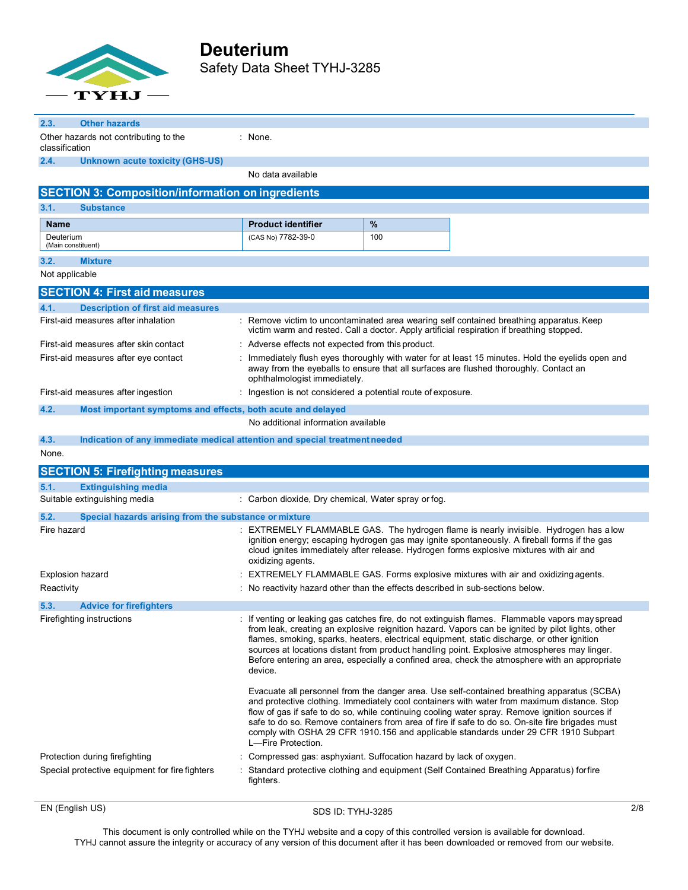

 $\blacksquare$ 

| 2.3.<br><b>Other hazards</b>                                                                |                                                              |                                                                                                                                                                                                                                                                                                                                                                                                                                                                                                    |
|---------------------------------------------------------------------------------------------|--------------------------------------------------------------|----------------------------------------------------------------------------------------------------------------------------------------------------------------------------------------------------------------------------------------------------------------------------------------------------------------------------------------------------------------------------------------------------------------------------------------------------------------------------------------------------|
| Other hazards not contributing to the<br>classification                                     | : None.                                                      |                                                                                                                                                                                                                                                                                                                                                                                                                                                                                                    |
| <b>Unknown acute toxicity (GHS-US)</b><br>2.4.                                              |                                                              |                                                                                                                                                                                                                                                                                                                                                                                                                                                                                                    |
|                                                                                             | No data available                                            |                                                                                                                                                                                                                                                                                                                                                                                                                                                                                                    |
| <b>SECTION 3: Composition/information on ingredients</b>                                    |                                                              |                                                                                                                                                                                                                                                                                                                                                                                                                                                                                                    |
| 3.1.<br><b>Substance</b>                                                                    |                                                              |                                                                                                                                                                                                                                                                                                                                                                                                                                                                                                    |
| <b>Name</b>                                                                                 | <b>Product identifier</b>                                    | %                                                                                                                                                                                                                                                                                                                                                                                                                                                                                                  |
| Deuterium<br>(Main constituent)                                                             | (CAS No) 7782-39-0                                           | 100                                                                                                                                                                                                                                                                                                                                                                                                                                                                                                |
| <b>Mixture</b><br>3.2.                                                                      |                                                              |                                                                                                                                                                                                                                                                                                                                                                                                                                                                                                    |
| Not applicable                                                                              |                                                              |                                                                                                                                                                                                                                                                                                                                                                                                                                                                                                    |
| <b>SECTION 4: First aid measures</b>                                                        |                                                              |                                                                                                                                                                                                                                                                                                                                                                                                                                                                                                    |
| <b>Description of first aid measures</b><br>4.1.                                            |                                                              |                                                                                                                                                                                                                                                                                                                                                                                                                                                                                                    |
| First-aid measures after inhalation                                                         |                                                              | : Remove victim to uncontaminated area wearing self contained breathing apparatus. Keep<br>victim warm and rested. Call a doctor. Apply artificial respiration if breathing stopped.                                                                                                                                                                                                                                                                                                               |
| First-aid measures after skin contact                                                       | : Adverse effects not expected from this product.            |                                                                                                                                                                                                                                                                                                                                                                                                                                                                                                    |
| First-aid measures after eye contact                                                        | ophthalmologist immediately.                                 | Immediately flush eyes thoroughly with water for at least 15 minutes. Hold the eyelids open and<br>away from the eyeballs to ensure that all surfaces are flushed thoroughly. Contact an                                                                                                                                                                                                                                                                                                           |
| First-aid measures after ingestion                                                          | : Ingestion is not considered a potential route of exposure. |                                                                                                                                                                                                                                                                                                                                                                                                                                                                                                    |
| 4.2.<br>Most important symptoms and effects, both acute and delayed                         |                                                              |                                                                                                                                                                                                                                                                                                                                                                                                                                                                                                    |
|                                                                                             | No additional information available                          |                                                                                                                                                                                                                                                                                                                                                                                                                                                                                                    |
| Indication of any immediate medical attention and special treatment needed<br>4.3.<br>None. |                                                              |                                                                                                                                                                                                                                                                                                                                                                                                                                                                                                    |
| <b>SECTION 5: Firefighting measures</b>                                                     |                                                              |                                                                                                                                                                                                                                                                                                                                                                                                                                                                                                    |
| <b>Extinguishing media</b><br>5.1.                                                          |                                                              |                                                                                                                                                                                                                                                                                                                                                                                                                                                                                                    |
| Suitable extinguishing media                                                                | : Carbon dioxide, Dry chemical, Water spray or fog.          |                                                                                                                                                                                                                                                                                                                                                                                                                                                                                                    |
| 5.2.<br>Special hazards arising from the substance or mixture                               |                                                              |                                                                                                                                                                                                                                                                                                                                                                                                                                                                                                    |
| Fire hazard                                                                                 | oxidizing agents.                                            | : EXTREMELY FLAMMABLE GAS. The hydrogen flame is nearly invisible. Hydrogen has alow<br>ignition energy; escaping hydrogen gas may ignite spontaneously. A fireball forms if the gas<br>cloud ignites immediately after release. Hydrogen forms explosive mixtures with air and                                                                                                                                                                                                                    |
| <b>Explosion hazard</b>                                                                     |                                                              | EXTREMELY FLAMMABLE GAS. Forms explosive mixtures with air and oxidizing agents.                                                                                                                                                                                                                                                                                                                                                                                                                   |
| Reactivity                                                                                  |                                                              | : No reactivity hazard other than the effects described in sub-sections below.                                                                                                                                                                                                                                                                                                                                                                                                                     |
| <b>Advice for firefighters</b><br>5.3.                                                      |                                                              |                                                                                                                                                                                                                                                                                                                                                                                                                                                                                                    |
| Firefighting instructions                                                                   | device.                                                      | : If venting or leaking gas catches fire, do not extinguish flames. Flammable vapors may spread<br>from leak, creating an explosive reignition hazard. Vapors can be ignited by pilot lights, other<br>flames, smoking, sparks, heaters, electrical equipment, static discharge, or other ignition<br>sources at locations distant from product handling point. Explosive atmospheres may linger.<br>Before entering an area, especially a confined area, check the atmosphere with an appropriate |
|                                                                                             | L-Fire Protection.                                           | Evacuate all personnel from the danger area. Use self-contained breathing apparatus (SCBA)<br>and protective clothing. Immediately cool containers with water from maximum distance. Stop<br>flow of gas if safe to do so, while continuing cooling water spray. Remove ignition sources if<br>safe to do so. Remove containers from area of fire if safe to do so. On-site fire brigades must<br>comply with OSHA 29 CFR 1910.156 and applicable standards under 29 CFR 1910 Subpart              |
| Protection during firefighting                                                              |                                                              | Compressed gas: asphyxiant. Suffocation hazard by lack of oxygen.                                                                                                                                                                                                                                                                                                                                                                                                                                  |
| Special protective equipment for fire fighters                                              | fighters.                                                    | : Standard protective clothing and equipment (Self Contained Breathing Apparatus) for fire                                                                                                                                                                                                                                                                                                                                                                                                         |
|                                                                                             |                                                              |                                                                                                                                                                                                                                                                                                                                                                                                                                                                                                    |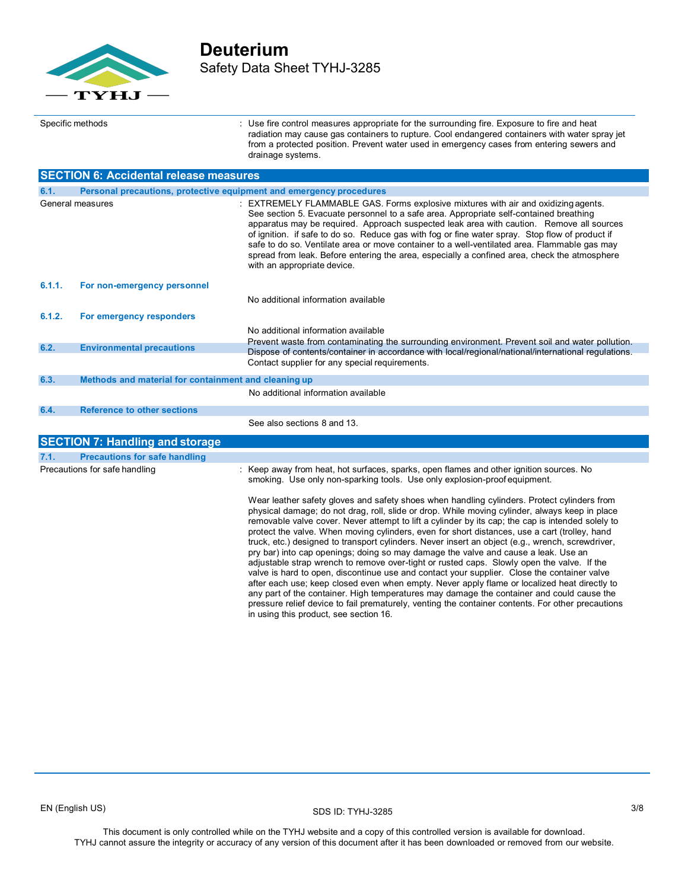

## **Deuterium** Safety Data Sheet TYHJ-3285

Specific methods : Use fire control measures appropriate for the surrounding fire. Exposure to fire and heat radiation may cause gas containers to rupture. Cool endangered containers with water spray jet from a protected position. Prevent water used in emergency cases from entering sewers and drainage systems. **SECTION 6: Accidental release measures** General measures **Statemar Addam ACTIV FLAMMABLE GAS.** Forms explosive mixtures with air and oxidizing agents. See section 5. Evacuate personnel to a safe area. Appropriate self-contained breathing **6.1. Personal precautions, protective equipment and emergency procedures**

|        |                                                      | at measure paragriter to a para arour tippi opitate dell'occitative are<br>apparatus may be required. Approach suspected leak area with caution. Remove all sources<br>of ignition. If safe to do so. Reduce gas with fog or fine water spray. Stop flow of product if<br>safe to do so. Ventilate area or move container to a well-ventilated area. Flammable gas may<br>spread from leak. Before entering the area, especially a confined area, check the atmosphere<br>with an appropriate device.                                                                                                                                                                                       |
|--------|------------------------------------------------------|---------------------------------------------------------------------------------------------------------------------------------------------------------------------------------------------------------------------------------------------------------------------------------------------------------------------------------------------------------------------------------------------------------------------------------------------------------------------------------------------------------------------------------------------------------------------------------------------------------------------------------------------------------------------------------------------|
| 6.1.1. | For non-emergency personnel                          |                                                                                                                                                                                                                                                                                                                                                                                                                                                                                                                                                                                                                                                                                             |
|        |                                                      | No additional information available                                                                                                                                                                                                                                                                                                                                                                                                                                                                                                                                                                                                                                                         |
| 6.1.2. | For emergency responders                             |                                                                                                                                                                                                                                                                                                                                                                                                                                                                                                                                                                                                                                                                                             |
|        |                                                      | No additional information available                                                                                                                                                                                                                                                                                                                                                                                                                                                                                                                                                                                                                                                         |
| 6.2.   | <b>Environmental precautions</b>                     | Prevent waste from contaminating the surrounding environment. Prevent soil and water pollution.<br>Dispose of contents/container in accordance with local/regional/national/international regulations.                                                                                                                                                                                                                                                                                                                                                                                                                                                                                      |
|        |                                                      | Contact supplier for any special requirements.                                                                                                                                                                                                                                                                                                                                                                                                                                                                                                                                                                                                                                              |
| 6.3.   | Methods and material for containment and cleaning up |                                                                                                                                                                                                                                                                                                                                                                                                                                                                                                                                                                                                                                                                                             |
|        |                                                      | No additional information available                                                                                                                                                                                                                                                                                                                                                                                                                                                                                                                                                                                                                                                         |
| 6.4.   | <b>Reference to other sections</b>                   |                                                                                                                                                                                                                                                                                                                                                                                                                                                                                                                                                                                                                                                                                             |
|        |                                                      | See also sections 8 and 13.                                                                                                                                                                                                                                                                                                                                                                                                                                                                                                                                                                                                                                                                 |
|        | <b>SECTION 7: Handling and storage</b>               |                                                                                                                                                                                                                                                                                                                                                                                                                                                                                                                                                                                                                                                                                             |
| 7.1.   | <b>Precautions for safe handling</b>                 |                                                                                                                                                                                                                                                                                                                                                                                                                                                                                                                                                                                                                                                                                             |
|        | Precautions for safe handling                        | : Keep away from heat, hot surfaces, sparks, open flames and other ignition sources. No<br>smoking. Use only non-sparking tools. Use only explosion-proof equipment.                                                                                                                                                                                                                                                                                                                                                                                                                                                                                                                        |
|        |                                                      | Wear leather safety gloves and safety shoes when handling cylinders. Protect cylinders from<br>physical damage; do not drag, roll, slide or drop. While moving cylinder, always keep in place<br>removable valve cover. Never attempt to lift a cylinder by its cap; the cap is intended solely to<br>protect the valve. When moving cylinders, even for short distances, use a cart (trolley, hand<br>truck, etc.) designed to transport cylinders. Never insert an object (e.g., wrench, screwdriver,<br>pry bar) into cap openings; doing so may damage the valve and cause a leak. Use an<br>adjustable strap wrench to remove over-tight or rusted caps. Slowly open the valve. If the |

adjustable strap wrench to remove over-tight or rusted caps. Slowly open the valve. If the valve is hard to open, discontinue use and contact your supplier. Close the container valve after each use; keep closed even when empty. Never apply flame or localized heat directly to any part of the container. High temperatures may damage the container and could cause the pressure relief device to fail prematurely, venting the container contents. For other precautions in using this product, see section 16.

SDS ID: TYHJ-3285 EN (English US) 3/8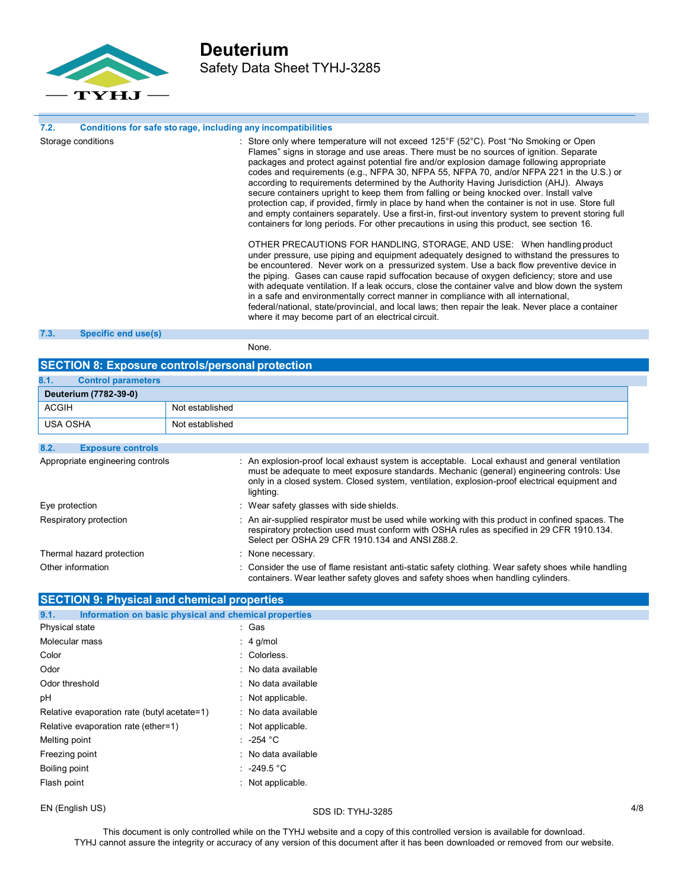

### **7.2. Conditions for safe sto rage, including**

| 7.2. | Conditions for safe sto rage, including any incompatibilities |                                                                                                                                                                                                                                                                                                                                                                                                                                                                                                                                                                                                                                                                                                                                                                                                                                                                                                                                                                                                                                                                                                                                                                                                                                                                                                                                                                                                                                                                                                                                                                                                                |
|------|---------------------------------------------------------------|----------------------------------------------------------------------------------------------------------------------------------------------------------------------------------------------------------------------------------------------------------------------------------------------------------------------------------------------------------------------------------------------------------------------------------------------------------------------------------------------------------------------------------------------------------------------------------------------------------------------------------------------------------------------------------------------------------------------------------------------------------------------------------------------------------------------------------------------------------------------------------------------------------------------------------------------------------------------------------------------------------------------------------------------------------------------------------------------------------------------------------------------------------------------------------------------------------------------------------------------------------------------------------------------------------------------------------------------------------------------------------------------------------------------------------------------------------------------------------------------------------------------------------------------------------------------------------------------------------------|
|      | Storage conditions                                            | : Store only where temperature will not exceed $125^{\circ}F(52^{\circ}C)$ . Post "No Smoking or Open<br>Flames" signs in storage and use areas. There must be no sources of ignition. Separate<br>packages and protect against potential fire and/or explosion damage following appropriate<br>codes and requirements (e.g., NFPA 30, NFPA 55, NFPA 70, and/or NFPA 221 in the U.S.) or<br>according to requirements determined by the Authority Having Jurisdiction (AHJ). Always<br>secure containers upright to keep them from falling or being knocked over. Install valve<br>protection cap, if provided, firmly in place by hand when the container is not in use. Store full<br>and empty containers separately. Use a first-in, first-out inventory system to prevent storing full<br>containers for long periods. For other precautions in using this product, see section 16.<br>OTHER PRECAUTIONS FOR HANDLING, STORAGE, AND USE: When handling product<br>under pressure, use piping and equipment adequately designed to withstand the pressures to<br>be encountered. Never work on a pressurized system. Use a back flow preventive device in<br>the piping. Gases can cause rapid suffocation because of oxygen deficiency; store and use<br>with adequate ventilation. If a leak occurs, close the container valve and blow down the system<br>in a safe and environmentally correct manner in compliance with all international,<br>federal/national, state/provincial, and local laws; then repair the leak. Never place a container<br>where it may become part of an electrical circuit. |
|      |                                                               |                                                                                                                                                                                                                                                                                                                                                                                                                                                                                                                                                                                                                                                                                                                                                                                                                                                                                                                                                                                                                                                                                                                                                                                                                                                                                                                                                                                                                                                                                                                                                                                                                |

## **7.3. Specific end use(s)**

None.

## **SECTION 8: Exposure controls/personal protection**

| 8.1.<br><b>Control parameters</b> |                 |
|-----------------------------------|-----------------|
| Deuterium (7782-39-0)             |                 |
| <b>ACGIH</b>                      | Not established |
| USA OSHA                          | Not established |

| 8.2.<br><b>Exposure controls</b> |                                                                                                                                                                                                                                                                                                           |
|----------------------------------|-----------------------------------------------------------------------------------------------------------------------------------------------------------------------------------------------------------------------------------------------------------------------------------------------------------|
| Appropriate engineering controls | : An explosion-proof local exhaust system is acceptable. Local exhaust and general ventilation<br>must be adequate to meet exposure standards. Mechanic (general) engineering controls: Use<br>only in a closed system. Closed system, ventilation, explosion-proof electrical equipment and<br>lighting. |
| Eye protection                   | : Wear safety glasses with side shields.                                                                                                                                                                                                                                                                  |
| Respiratory protection           | : An air-supplied respirator must be used while working with this product in confined spaces. The<br>respiratory protection used must conform with OSHA rules as specified in 29 CFR 1910.134.<br>Select per OSHA 29 CFR 1910.134 and ANSI Z88.2.                                                         |
| Thermal hazard protection        | : None necessary.                                                                                                                                                                                                                                                                                         |
| Other information                | : Consider the use of flame resistant anti-static safety clothing. Wear safety shoes while handling<br>containers. Wear leather safety gloves and safety shoes when handling cylinders.                                                                                                                   |

| <b>SECTION 9: Physical and chemical properties</b>            |                              |  |
|---------------------------------------------------------------|------------------------------|--|
| Information on basic physical and chemical properties<br>9.1. |                              |  |
| Physical state                                                | : Gas                        |  |
| Molecular mass                                                | $: 4$ g/mol                  |  |
| Color                                                         | : Colorless.                 |  |
| Odor                                                          | : No data available          |  |
| Odor threshold                                                | : No data available          |  |
| рH                                                            | : Not applicable.            |  |
| Relative evaporation rate (butyl acetate=1)                   | : No data available          |  |
| Relative evaporation rate (ether=1)                           | $:$ Not applicable.          |  |
| Melting point                                                 | : $-254\degree$ C            |  |
| Freezing point                                                | : No data available          |  |
| Boiling point                                                 | : $-249.5$ °C                |  |
| Flash point                                                   | $\therefore$ Not applicable. |  |

EN (English US) 4/8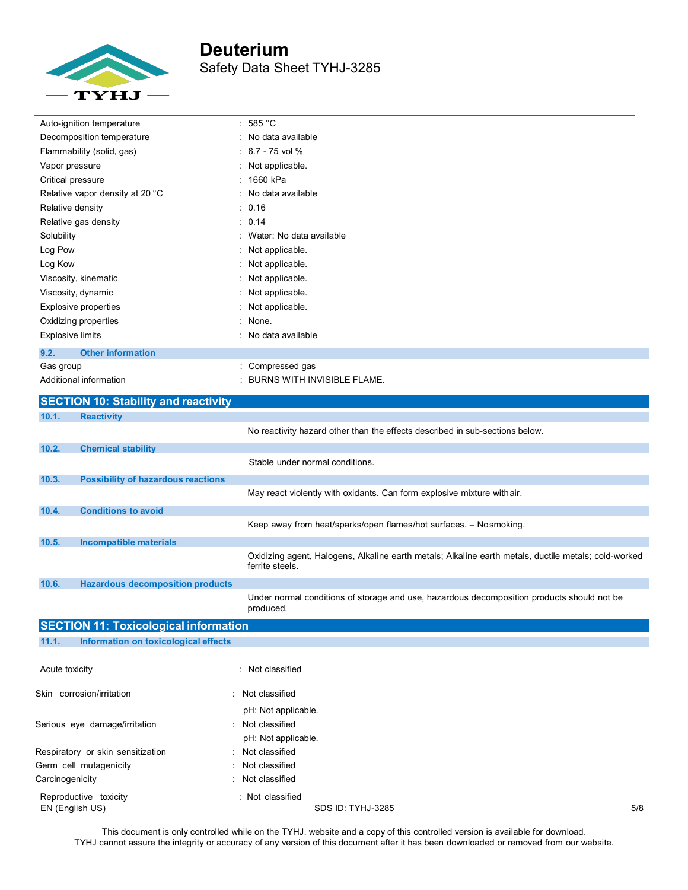

| Auto-ignition temperature        | : 585 °C                      |
|----------------------------------|-------------------------------|
| Decomposition temperature        | : No data available           |
| Flammability (solid, gas)        | $: 6.7 - 75$ vol %            |
| Vapor pressure                   | : Not applicable.             |
| Critical pressure                | : 1660 kPa                    |
| Relative vapor density at 20 °C  | : No data available           |
| Relative density                 | : 0.16                        |
| Relative gas density             | : 0.14                        |
| Solubility                       | : Water: No data available    |
| Log Pow                          | : Not applicable.             |
| Log Kow                          | : Not applicable.             |
| Viscosity, kinematic             | : Not applicable.             |
| Viscosity, dynamic               | : Not applicable.             |
| Explosive properties             | : Not applicable.             |
| Oxidizing properties             | : None.                       |
| <b>Explosive limits</b>          | : No data available           |
| <b>Other information</b><br>9.2. |                               |
| Gas group                        | : Compressed gas              |
| Additional information           | : BURNS WITH INVISIBLE FLAME. |

|                               | <b>SECTION 10: Stability and reactivity</b>  |                                                                                                                         |     |
|-------------------------------|----------------------------------------------|-------------------------------------------------------------------------------------------------------------------------|-----|
| 10.1.                         | <b>Reactivity</b>                            |                                                                                                                         |     |
|                               |                                              | No reactivity hazard other than the effects described in sub-sections below.                                            |     |
| 10.2.                         | <b>Chemical stability</b>                    |                                                                                                                         |     |
|                               |                                              | Stable under normal conditions.                                                                                         |     |
| 10.3.                         | <b>Possibility of hazardous reactions</b>    |                                                                                                                         |     |
|                               |                                              | May react violently with oxidants. Can form explosive mixture with air.                                                 |     |
| 10.4.                         | <b>Conditions to avoid</b>                   |                                                                                                                         |     |
|                               |                                              | Keep away from heat/sparks/open flames/hot surfaces. - Nosmoking.                                                       |     |
| 10.5.                         | <b>Incompatible materials</b>                |                                                                                                                         |     |
|                               |                                              | Oxidizing agent, Halogens, Alkaline earth metals; Alkaline earth metals, ductile metals; cold-worked<br>ferrite steels. |     |
| 10.6.                         | <b>Hazardous decomposition products</b>      |                                                                                                                         |     |
|                               |                                              | Under normal conditions of storage and use, hazardous decomposition products should not be<br>produced.                 |     |
|                               | <b>SECTION 11: Toxicological information</b> |                                                                                                                         |     |
| 11.1.                         | Information on toxicological effects         |                                                                                                                         |     |
| Acute toxicity                |                                              | : Not classified                                                                                                        |     |
|                               | Skin corrosion/irritation                    | : Not classified                                                                                                        |     |
|                               |                                              | pH: Not applicable.                                                                                                     |     |
| Serious eye damage/irritation |                                              | Not classified                                                                                                          |     |
|                               |                                              | pH: Not applicable.                                                                                                     |     |
|                               | Respiratory or skin sensitization            | : Not classified                                                                                                        |     |
|                               | Germ cell mutagenicity                       | Not classified                                                                                                          |     |
| Carcinogenicity               |                                              | : Not classified                                                                                                        |     |
|                               | Reproductive toxicity                        | : Not classified                                                                                                        |     |
|                               | EN (English US)                              | SDS ID: TYHJ-3285                                                                                                       | 5/8 |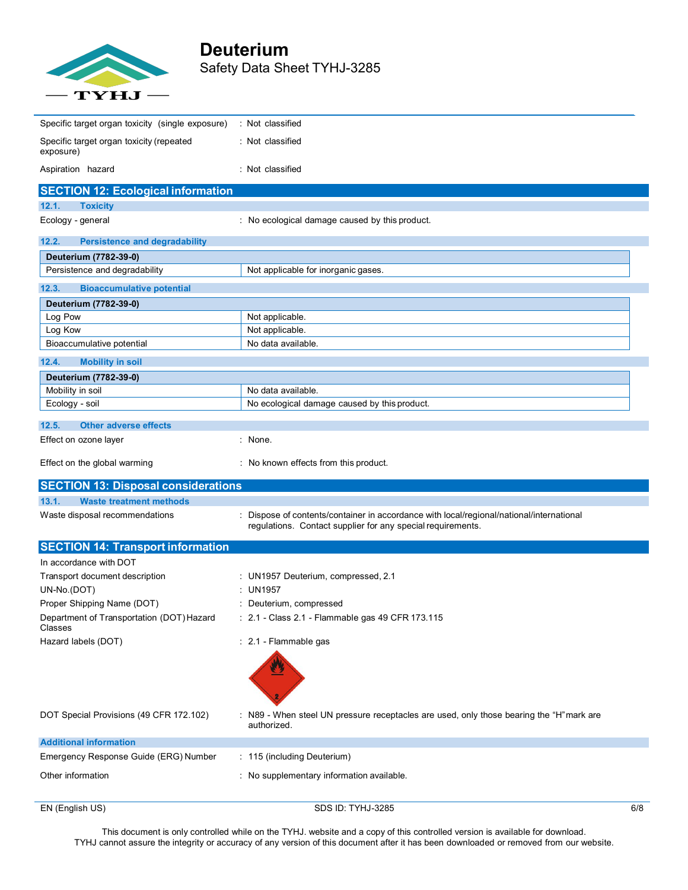

# **Deuterium** Safety Data Sheet TYHJ-3285

| EN (English US)                                        | SDS ID: TYHJ-3285                                                                                       | 6/8 |
|--------------------------------------------------------|---------------------------------------------------------------------------------------------------------|-----|
| Other information                                      | : No supplementary information available.                                                               |     |
|                                                        |                                                                                                         |     |
| Emergency Response Guide (ERG) Number                  | : 115 (including Deuterium)                                                                             |     |
| <b>Additional information</b>                          |                                                                                                         |     |
| DOT Special Provisions (49 CFR 172.102)                | : N89 - When steel UN pressure receptacles are used, only those bearing the "H" mark are<br>authorized. |     |
| Hazard labels (DOT)                                    | : 2.1 - Flammable gas                                                                                   |     |
| Department of Transportation (DOT) Hazard<br>Classes   | : 2.1 - Class 2.1 - Flammable gas 49 CFR 173.115                                                        |     |
| Proper Shipping Name (DOT)                             | Deuterium, compressed                                                                                   |     |
| UN-No.(DOT)                                            | <b>UN1957</b>                                                                                           |     |
| Transport document description                         | : UN1957 Deuterium, compressed, 2.1                                                                     |     |
| In accordance with DOT                                 |                                                                                                         |     |
| <b>SECTION 14: Transport information</b>               |                                                                                                         |     |
|                                                        | regulations. Contact supplier for any special requirements.                                             |     |
| Waste disposal recommendations                         | Dispose of contents/container in accordance with local/regional/national/international                  |     |
| 13.1.<br><b>Waste treatment methods</b>                |                                                                                                         |     |
| <b>SECTION 13: Disposal considerations</b>             |                                                                                                         |     |
| Effect on the global warming                           | : No known effects from this product.                                                                   |     |
| Effect on ozone layer                                  | : None.                                                                                                 |     |
| 12.5.<br><b>Other adverse effects</b>                  |                                                                                                         |     |
|                                                        |                                                                                                         |     |
| Mobility in soil<br>Ecology - soil                     | No ecological damage caused by this product.                                                            |     |
| Deuterium (7782-39-0)                                  | No data available.                                                                                      |     |
| 12.4.<br><b>Mobility in soil</b>                       |                                                                                                         |     |
|                                                        |                                                                                                         |     |
| Bioaccumulative potential                              | No data available.                                                                                      |     |
| Log Pow<br>Log Kow                                     | Not applicable.<br>Not applicable.                                                                      |     |
| Deuterium (7782-39-0)                                  |                                                                                                         |     |
| <b>Bioaccumulative potential</b><br>12.3.              |                                                                                                         |     |
|                                                        |                                                                                                         |     |
| Deuterium (7782-39-0)<br>Persistence and degradability | Not applicable for inorganic gases.                                                                     |     |
| 12.2.<br><b>Persistence and degradability</b>          |                                                                                                         |     |
|                                                        |                                                                                                         |     |
| <b>Toxicity</b><br>Ecology - general                   | : No ecological damage caused by this product.                                                          |     |
| <b>SECTION 12: Ecological information</b><br>12.1.     |                                                                                                         |     |
|                                                        |                                                                                                         |     |
| exposure)<br>Aspiration hazard                         | : Not classified                                                                                        |     |
| Specific target organ toxicity (repeated               | : Not classified                                                                                        |     |
| Specific target organ toxicity (single exposure)       | : Not classified                                                                                        |     |
|                                                        |                                                                                                         |     |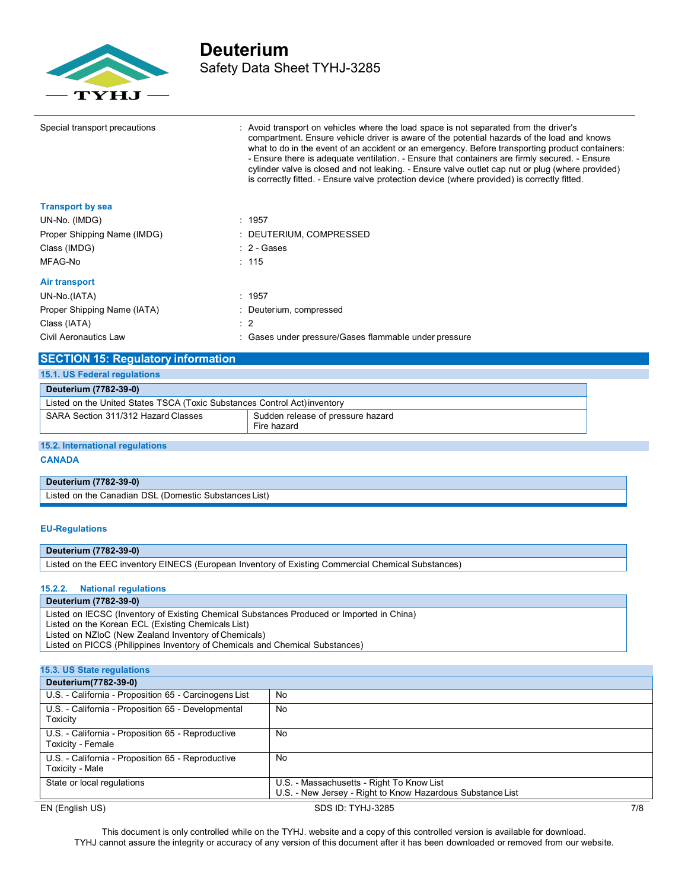

## **Deuterium** Safety Data Sheet TYHJ-3285

| Special transport precautions | : Avoid transport on vehicles where the load space is not separated from the driver's<br>compartment. Ensure vehicle driver is aware of the potential hazards of the load and knows<br>what to do in the event of an accident or an emergency. Before transporting product containers:<br>- Ensure there is adequate ventilation. - Ensure that containers are firmly secured. - Ensure<br>cylinder valve is closed and not leaking. - Ensure valve outlet cap nut or plug (where provided)<br>is correctly fitted. - Ensure valve protection device (where provided) is correctly fitted. |
|-------------------------------|--------------------------------------------------------------------------------------------------------------------------------------------------------------------------------------------------------------------------------------------------------------------------------------------------------------------------------------------------------------------------------------------------------------------------------------------------------------------------------------------------------------------------------------------------------------------------------------------|
| <b>Transport by sea</b>       |                                                                                                                                                                                                                                                                                                                                                                                                                                                                                                                                                                                            |
| UN-No. (IMDG)                 | : 1957                                                                                                                                                                                                                                                                                                                                                                                                                                                                                                                                                                                     |
| Proper Shipping Name (IMDG)   | : DEUTERIUM, COMPRESSED                                                                                                                                                                                                                                                                                                                                                                                                                                                                                                                                                                    |
| Class (IMDG)                  | $: 2 - \text{Gases}$                                                                                                                                                                                                                                                                                                                                                                                                                                                                                                                                                                       |
| MFAG-No                       | : 115                                                                                                                                                                                                                                                                                                                                                                                                                                                                                                                                                                                      |
| <b>Air transport</b>          |                                                                                                                                                                                                                                                                                                                                                                                                                                                                                                                                                                                            |
| UN-No.(IATA)                  | : 1957                                                                                                                                                                                                                                                                                                                                                                                                                                                                                                                                                                                     |
| Proper Shipping Name (IATA)   | : Deuterium, compressed                                                                                                                                                                                                                                                                                                                                                                                                                                                                                                                                                                    |
| Class (IATA)                  | $\therefore$ 2                                                                                                                                                                                                                                                                                                                                                                                                                                                                                                                                                                             |
| Civil Aeronautics Law         | : Gases under pressure/Gases flammable under pressure                                                                                                                                                                                                                                                                                                                                                                                                                                                                                                                                      |

| <b>SECTION 15: Regulatory information</b>                                               |  |  |
|-----------------------------------------------------------------------------------------|--|--|
| <b>15.1. US Federal regulations</b>                                                     |  |  |
| Deuterium (7782-39-0)                                                                   |  |  |
| Listed on the United States TSCA (Toxic Substances Control Act) inventory               |  |  |
| Sudden release of pressure hazard<br>SARA Section 311/312 Hazard Classes<br>Fire hazard |  |  |

**15.2. International regulations**

**CANADA**

**Deuterium (7782-39-0)** Listed on the Canadian DSL (Domestic Substances List)

## **EU-Regulations**

**Deuterium (7782-39-0)**

Listed on the EEC inventory EINECS (European Inventory of Existing Commercial Chemical Substances)

### **15.2.2. National regulations**

**Deuterium (7782-39-0)**

Listed on IECSC (Inventory of Existing Chemical Substances Produced or Imported in China) Listed on the Korean ECL (Existing Chemicals List) Listed on NZIoC (New Zealand Inventory of Chemicals) Listed on PICCS (Philippines Inventory of Chemicals and Chemical Substances)

| 15.3. US State regulations                                             |                                                                                                         |     |
|------------------------------------------------------------------------|---------------------------------------------------------------------------------------------------------|-----|
| Deuterium(7782-39-0)                                                   |                                                                                                         |     |
| U.S. - California - Proposition 65 - Carcinogens List                  | No                                                                                                      |     |
| U.S. - California - Proposition 65 - Developmental<br>Toxicity         | No                                                                                                      |     |
| U.S. - California - Proposition 65 - Reproductive<br>Toxicity - Female | No                                                                                                      |     |
| U.S. - California - Proposition 65 - Reproductive<br>Toxicity - Male   | No                                                                                                      |     |
| State or local regulations                                             | U.S. - Massachusetts - Right To Know List<br>U.S. - New Jersey - Right to Know Hazardous Substance List |     |
| EN (English US)                                                        | SDS ID: TYHJ-3285                                                                                       | 7/8 |